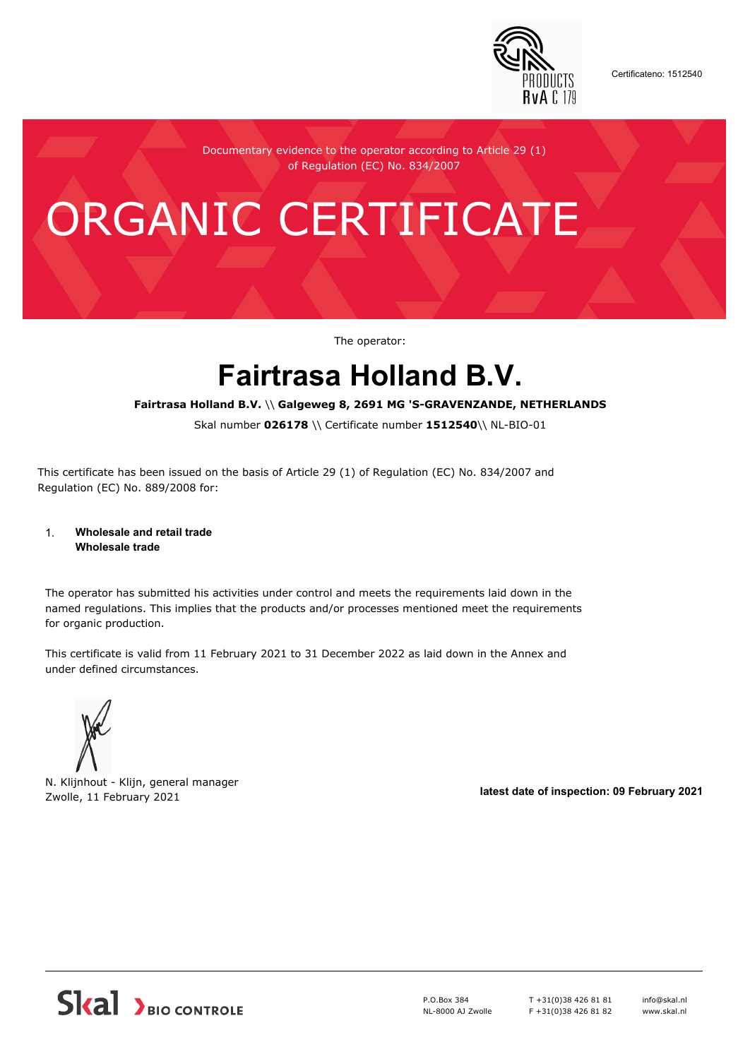

Certificateno: 1512540

Documentary evidence to the operator according to Article 29 (1) of Regulation (EC) No. 834/2007

# ORGANIC CERTIFICATE

The operator:

## **Fairtrasa Holland B.V.**

#### **Fairtrasa Holland B.V.** \\ **Galgeweg 8, 2691 MG 'S-GRAVENZANDE, NETHERLANDS**

Skal number **026178** \\ Certificate number **1512540**\\ NL-BIO-01

This certificate has been issued on the basis of Article 29 (1) of Regulation (EC) No. 834/2007 and Regulation (EC) No. 889/2008 for:

#### 1. **Wholesale and retail trade Wholesale trade**

The operator has submitted his activities under control and meets the requirements laid down in the named regulations. This implies that the products and/or processes mentioned meet the requirements for organic production.

This certificate is valid from 11 February 2021 to 31 December 2022 as laid down in the Annex and under defined circumstances.



N. Klijnhout - Klijn, general manager Zwolle, 11 February 2021 **latest date of inspection: 09 February 2021**



P.O.Box 384 NL-8000 AJ Zwolle